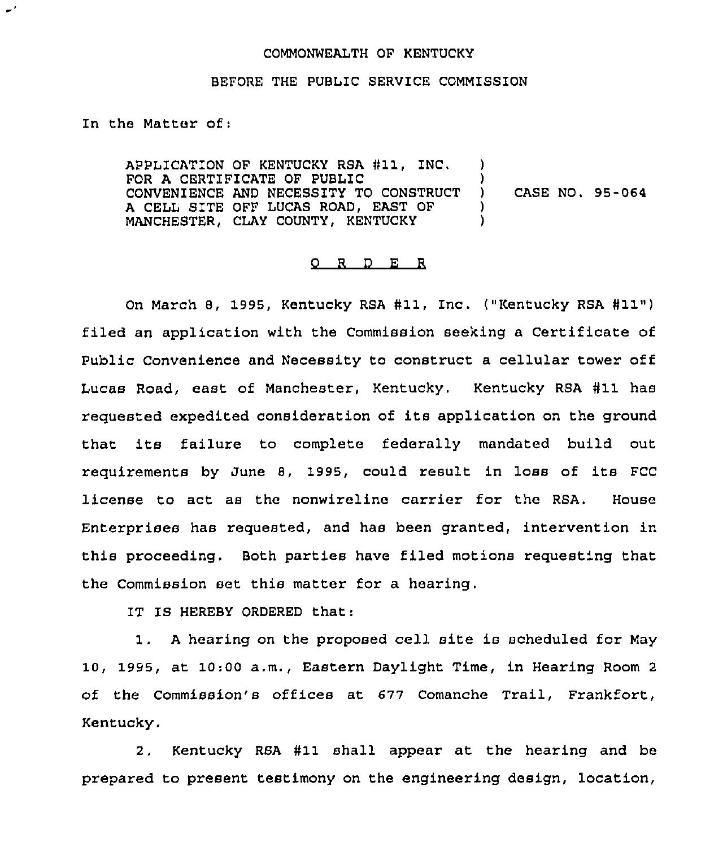## COMMONWEALTH OF KENTUCKY

## BEFORE THE PUBLIC SERVICE COMMISSION

In the Matter of:

 $\sigma^{\,\prime}$ 

APPLICATION OF KENTUCKY RSA #11, INC. FOR A CERTIFICATE OF PUBLIC (2008)<br>CONVENIENCE AND NECESSITY TO CONSTRUCT (2008) CONVENIENCE AND NECESSITY TO CONSTRUCT )<br>A CELL SITE OFF LUCAS ROAD. EAST OF ) A CELL SITE OFF LUCAS ROAD, EAST OF (1) MANCHESTER, CLAY COUNTY, KENTUCKY ) CASE NO. 95-064

## 0 R <sup>D</sup> E R

On March 8, 1995, Kentucky RSA #11, Inc. ("Kentucky RSA #11") filed an application with the Commission seeking a Certificate of Public Convenience and Necessity to construct a cellular tower off Lucas Road, east of Manchester, Kentucky. Kentucky RSA #11 has requested expedited consideration of its application on the ground that its failure to complete federally mandated build out requirements by June 8, 1995, could result in loss of its FCC license to act as the nonwireline carrier for the RSA. House Enterprises has requested, and has been granted, intervention in this proceeding. Both parties have filed motions requesting that the Commission set this matter for a hearing.

IT IS HEREBY ORDERED that:

1. <sup>A</sup> hearing on the proposed cell site is scheduled for May 10, 1995, at 10:00 a.m., Eastern Daylight Time, in Hearing Room <sup>2</sup> of the Commission's offices at 677 Comanche Trail, Frankfort, Kentucky.

2. Kentucky RSA #11 shall appear at the hearing and be prepared to present testimony on the engineering design, location,